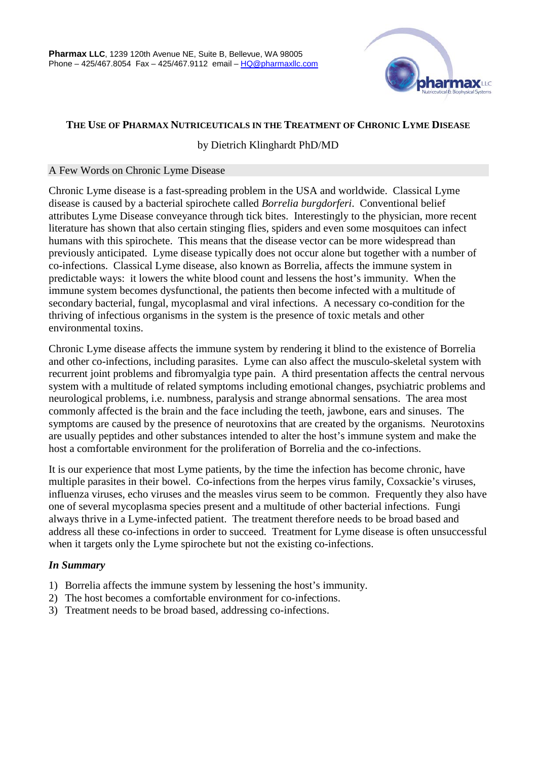

# **THE USE OF PHARMAX NUTRICEUTICALS IN THE TREATMENT OF CHRONIC LYME DISEASE**

by Dietrich Klinghardt PhD/MD

## A Few Words on Chronic Lyme Disease

Chronic Lyme disease is a fast-spreading problem in the USA and worldwide. Classical Lyme disease is caused by a bacterial spirochete called *Borrelia burgdorferi*. Conventional belief attributes Lyme Disease conveyance through tick bites. Interestingly to the physician, more recent literature has shown that also certain stinging flies, spiders and even some mosquitoes can infect humans with this spirochete. This means that the disease vector can be more widespread than previously anticipated. Lyme disease typically does not occur alone but together with a number of co-infections. Classical Lyme disease, also known as Borrelia, affects the immune system in predictable ways: it lowers the white blood count and lessens the host's immunity. When the immune system becomes dysfunctional, the patients then become infected with a multitude of secondary bacterial, fungal, mycoplasmal and viral infections. A necessary co-condition for the thriving of infectious organisms in the system is the presence of toxic metals and other environmental toxins.

Chronic Lyme disease affects the immune system by rendering it blind to the existence of Borrelia and other co-infections, including parasites. Lyme can also affect the musculo-skeletal system with recurrent joint problems and fibromyalgia type pain. A third presentation affects the central nervous system with a multitude of related symptoms including emotional changes, psychiatric problems and neurological problems, i.e. numbness, paralysis and strange abnormal sensations. The area most commonly affected is the brain and the face including the teeth, jawbone, ears and sinuses. The symptoms are caused by the presence of neurotoxins that are created by the organisms. Neurotoxins are usually peptides and other substances intended to alter the host's immune system and make the host a comfortable environment for the proliferation of Borrelia and the co-infections.

It is our experience that most Lyme patients, by the time the infection has become chronic, have multiple parasites in their bowel. Co-infections from the herpes virus family, Coxsackie's viruses, influenza viruses, echo viruses and the measles virus seem to be common. Frequently they also have one of several mycoplasma species present and a multitude of other bacterial infections. Fungi always thrive in a Lyme-infected patient. The treatment therefore needs to be broad based and address all these co-infections in order to succeed. Treatment for Lyme disease is often unsuccessful when it targets only the Lyme spirochete but not the existing co-infections.

# *In Summary*

- 1) Borrelia affects the immune system by lessening the host's immunity.
- 2) The host becomes a comfortable environment for co-infections.
- 3) Treatment needs to be broad based, addressing co-infections.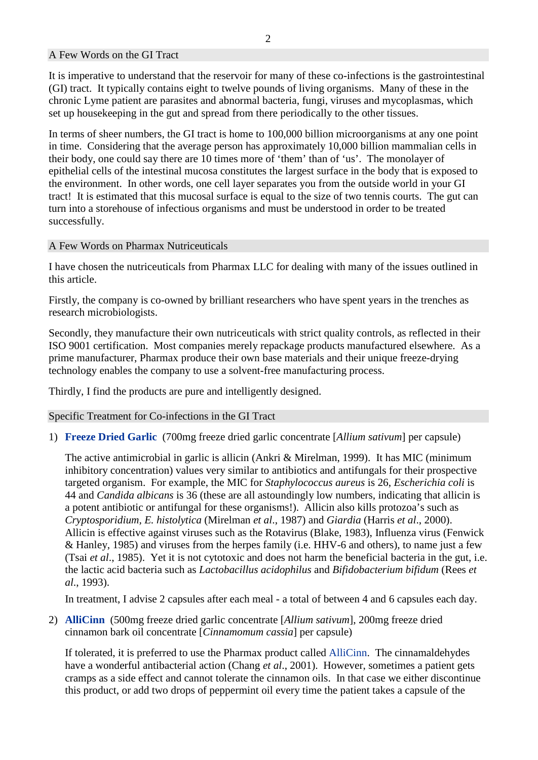A Few Words on the GI Tract

It is imperative to understand that the reservoir for many of these co-infections is the gastrointestinal (GI) tract. It typically contains eight to twelve pounds of living organisms. Many of these in the chronic Lyme patient are parasites and abnormal bacteria, fungi, viruses and mycoplasmas, which set up housekeeping in the gut and spread from there periodically to the other tissues.

In terms of sheer numbers, the GI tract is home to 100,000 billion microorganisms at any one point in time. Considering that the average person has approximately 10,000 billion mammalian cells in their body, one could say there are 10 times more of 'them' than of 'us'. The monolayer of epithelial cells of the intestinal mucosa constitutes the largest surface in the body that is exposed to the environment. In other words, one cell layer separates you from the outside world in your GI tract! It is estimated that this mucosal surface is equal to the size of two tennis courts. The gut can turn into a storehouse of infectious organisms and must be understood in order to be treated successfully.

### A Few Words on Pharmax Nutriceuticals

I have chosen the nutriceuticals from Pharmax LLC for dealing with many of the issues outlined in this article.

Firstly, the company is co-owned by brilliant researchers who have spent years in the trenches as research microbiologists.

Secondly, they manufacture their own nutriceuticals with strict quality controls, as reflected in their ISO 9001 certification. Most companies merely repackage products manufactured elsewhere. As a prime manufacturer, Pharmax produce their own base materials and their unique freeze-drying technology enables the company to use a solvent-free manufacturing process.

Thirdly, I find the products are pure and intelligently designed.

#### Specific Treatment for Co-infections in the GI Tract

1) **Freeze Dried Garlic** (700mg freeze dried garlic concentrate [*Allium sativum*] per capsule)

The active antimicrobial in garlic is allicin (Ankri & Mirelman, 1999). It has MIC (minimum inhibitory concentration) values very similar to antibiotics and antifungals for their prospective targeted organism. For example, the MIC for *Staphylococcus aureus* is 26, *Escherichia coli* is 44 and *Candida albicans* is 36 (these are all astoundingly low numbers, indicating that allicin is a potent antibiotic or antifungal for these organisms!). Allicin also kills protozoa's such as *Cryptosporidium, E. histolytica* (Mirelman *et al*., 1987) and *Giardia* (Harris *et al*., 2000). Allicin is effective against viruses such as the Rotavirus (Blake, 1983), Influenza virus (Fenwick & Hanley, 1985) and viruses from the herpes family (i.e. HHV-6 and others), to name just a few (Tsai *et al*., 1985). Yet it is not cytotoxic and does not harm the beneficial bacteria in the gut, i.e. the lactic acid bacteria such as *Lactobacillus acidophilus* and *Bifidobacterium bifidum* (Rees *et al*., 1993).

In treatment, I advise 2 capsules after each meal - a total of between 4 and 6 capsules each day.

2) **AlliCinn** (500mg freeze dried garlic concentrate [*Allium sativum*], 200mg freeze dried cinnamon bark oil concentrate [*Cinnamomum cassia*] per capsule)

If tolerated, it is preferred to use the Pharmax product called AlliCinn. The cinnamaldehydes have a wonderful antibacterial action (Chang *et al*., 2001). However, sometimes a patient gets cramps as a side effect and cannot tolerate the cinnamon oils. In that case we either discontinue this product, or add two drops of peppermint oil every time the patient takes a capsule of the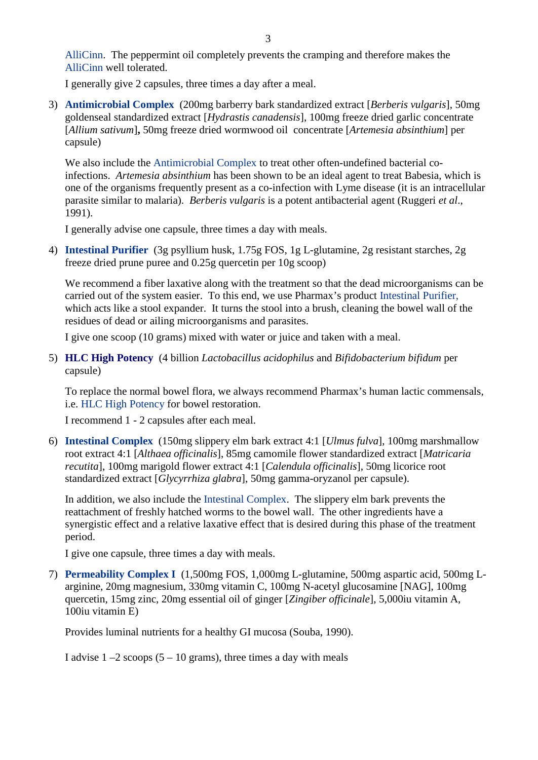AlliCinn. The peppermint oil completely prevents the cramping and therefore makes the AlliCinn well tolerated.

I generally give 2 capsules, three times a day after a meal.

3) **Antimicrobial Complex** (200mg barberry bark standardized extract [*Berberis vulgaris*], 50mg goldenseal standardized extract [*Hydrastis canadensis*], 100mg freeze dried garlic concentrate [*Allium sativum*]**,** 50mg freeze dried wormwood oil concentrate [*Artemesia absinthium*] per capsule)

We also include the Antimicrobial Complex to treat other often-undefined bacterial coinfections. *Artemesia absinthium* has been shown to be an ideal agent to treat Babesia, which is one of the organisms frequently present as a co-infection with Lyme disease (it is an intracellular parasite similar to malaria). *Berberis vulgaris* is a potent antibacterial agent (Ruggeri *et al*., 1991).

I generally advise one capsule, three times a day with meals.

4) **Intestinal Purifier** (3g psyllium husk, 1.75g FOS, 1g L-glutamine, 2g resistant starches, 2g freeze dried prune puree and 0.25g quercetin per 10g scoop)

We recommend a fiber laxative along with the treatment so that the dead microorganisms can be carried out of the system easier. To this end, we use Pharmax's product Intestinal Purifier, which acts like a stool expander. It turns the stool into a brush, cleaning the bowel wall of the residues of dead or ailing microorganisms and parasites.

I give one scoop (10 grams) mixed with water or juice and taken with a meal.

5) **HLC High Potency** (4 billion *Lactobacillus acidophilus* and *Bifidobacterium bifidum* per capsule)

To replace the normal bowel flora, we always recommend Pharmax's human lactic commensals, i.e. HLC High Potency for bowel restoration.

I recommend 1 - 2 capsules after each meal.

6) **Intestinal Complex** (150mg slippery elm bark extract 4:1 [*Ulmus fulva*], 100mg marshmallow root extract 4:1 [*Althaea officinalis*], 85mg camomile flower standardized extract [*Matricaria recutita*], 100mg marigold flower extract 4:1 [*Calendula officinalis*], 50mg licorice root standardized extract [*Glycyrrhiza glabra*], 50mg gamma-oryzanol per capsule).

In addition, we also include the Intestinal Complex. The slippery elm bark prevents the reattachment of freshly hatched worms to the bowel wall. The other ingredients have a synergistic effect and a relative laxative effect that is desired during this phase of the treatment period.

I give one capsule, three times a day with meals.

7) **Permeability Complex I** (1,500mg FOS, 1,000mg L-glutamine, 500mg aspartic acid, 500mg Larginine, 20mg magnesium, 330mg vitamin C, 100mg N-acetyl glucosamine [NAG], 100mg quercetin, 15mg zinc, 20mg essential oil of ginger [*Zingiber officinale*], 5,000iu vitamin A, 100iu vitamin E)

Provides luminal nutrients for a healthy GI mucosa (Souba, 1990).

I advise  $1 - 2$  scoops  $(5 - 10$  grams), three times a day with meals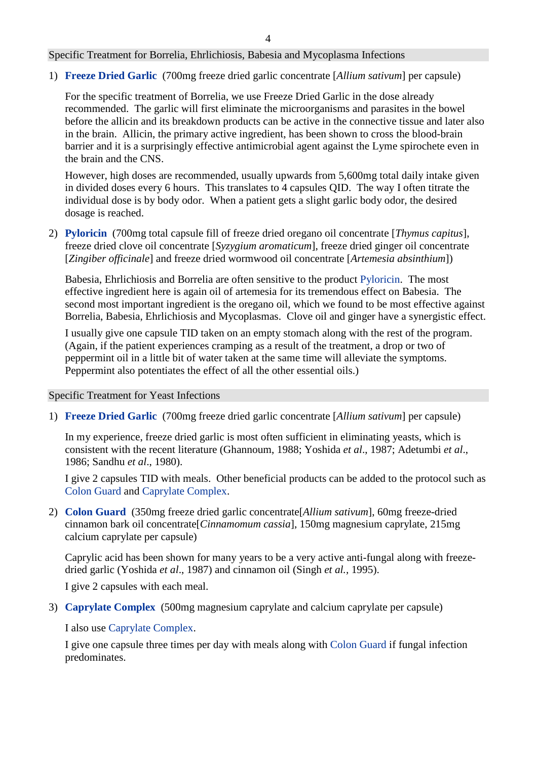### Specific Treatment for Borrelia, Ehrlichiosis, Babesia and Mycoplasma Infections

1) **Freeze Dried Garlic** (700mg freeze dried garlic concentrate [*Allium sativum*] per capsule)

For the specific treatment of Borrelia, we use Freeze Dried Garlic in the dose already recommended. The garlic will first eliminate the microorganisms and parasites in the bowel before the allicin and its breakdown products can be active in the connective tissue and later also in the brain. Allicin, the primary active ingredient, has been shown to cross the blood-brain barrier and it is a surprisingly effective antimicrobial agent against the Lyme spirochete even in the brain and the CNS.

However, high doses are recommended, usually upwards from 5,600mg total daily intake given in divided doses every 6 hours. This translates to 4 capsules QID. The way I often titrate the individual dose is by body odor. When a patient gets a slight garlic body odor, the desired dosage is reached.

2) **Pyloricin** (700mg total capsule fill of freeze dried oregano oil concentrate [*Thymus capitus*], freeze dried clove oil concentrate [*Syzygium aromaticum*], freeze dried ginger oil concentrate [*Zingiber officinale*] and freeze dried wormwood oil concentrate [*Artemesia absinthium*])

Babesia, Ehrlichiosis and Borrelia are often sensitive to the product Pyloricin.The most effective ingredient here is again oil of artemesia for its tremendous effect on Babesia. The second most important ingredient is the oregano oil, which we found to be most effective against Borrelia, Babesia, Ehrlichiosis and Mycoplasmas. Clove oil and ginger have a synergistic effect.

I usually give one capsule TID taken on an empty stomach along with the rest of the program. (Again, if the patient experiences cramping as a result of the treatment, a drop or two of peppermint oil in a little bit of water taken at the same time will alleviate the symptoms. Peppermint also potentiates the effect of all the other essential oils.)

#### Specific Treatment for Yeast Infections

1) **Freeze Dried Garlic** (700mg freeze dried garlic concentrate [*Allium sativum*] per capsule)

In my experience, freeze dried garlic is most often sufficient in eliminating yeasts, which is consistent with the recent literature (Ghannoum, 1988; Yoshida *et al*., 1987; Adetumbi *et al*., 1986; Sandhu *et al*., 1980).

I give 2 capsules TID with meals. Other beneficial products can be added to the protocol such as Colon Guard and Caprylate Complex.

2) **Colon Guard** (350mg freeze dried garlic concentrate[*Allium sativum*], 60mg freeze-dried cinnamon bark oil concentrate[*Cinnamomum cassia*], 150mg magnesium caprylate, 215mg calcium caprylate per capsule)

Caprylic acid has been shown for many years to be a very active anti-fungal along with freezedried garlic (Yoshida *et al*., 1987) and cinnamon oil (Singh *et al.,* 1995).

I give 2 capsules with each meal.

3) **Caprylate Complex** (500mg magnesium caprylate and calcium caprylate per capsule)

I also use Caprylate Complex.

I give one capsule three times per day with meals along with Colon Guard if fungal infection predominates.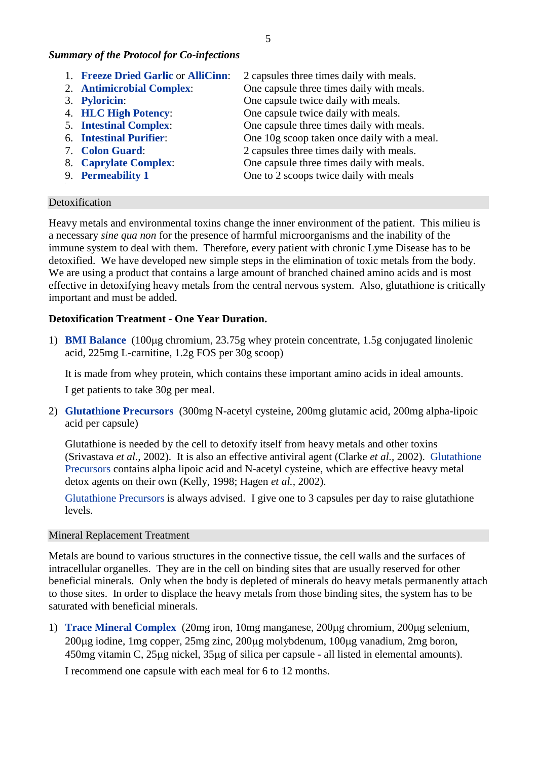### *Summary of the Protocol for Co-infections*

- 1. **Freeze Dried Garlic** or **AlliCinn**: 2 capsules three times daily with meals.
- 
- 
- 
- 
- 
- 
- 
- 
- 2. **Antimicrobial Complex**: One capsule three times daily with meals. 3. **Pyloricin**: One capsule twice daily with meals. 4. **HLC High Potency**: One capsule twice daily with meals. 5. **Intestinal Complex**: One capsule three times daily with meals. 6. **Intestinal Purifier**: One 10g scoop taken once daily with a meal. 7. **Colon Guard**: 2 capsules three times daily with meals. 8. **Caprylate Complex:** One capsule three times daily with meals.<br>
9. **Permeability 1** One to 2 scoops twice daily with meals One to 2 scoops twice daily with meals

### Detoxification

Heavy metals and environmental toxins change the inner environment of the patient. This milieu is a necessary *sine qua non* for the presence of harmful microorganisms and the inability of the immune system to deal with them. Therefore, every patient with chronic Lyme Disease has to be detoxified. We have developed new simple steps in the elimination of toxic metals from the body. We are using a product that contains a large amount of branched chained amino acids and is most effective in detoxifying heavy metals from the central nervous system. Also, glutathione is critically important and must be added.

### **Detoxification Treatment - One Year Duration.**

1) **BMI Balance** (100µg chromium, 23.75g whey protein concentrate, 1.5g conjugated linolenic acid, 225mg L-carnitine, 1.2g FOS per 30g scoop)

It is made from whey protein, which contains these important amino acids in ideal amounts. I get patients to take 30g per meal.

2) **Glutathione Precursors** (300mg N-acetyl cysteine, 200mg glutamic acid, 200mg alpha-lipoic acid per capsule)

Glutathione is needed by the cell to detoxify itself from heavy metals and other toxins (Srivastava *et al.,* 2002). It is also an effective antiviral agent (Clarke *et al.,* 2002). Glutathione Precursors contains alpha lipoic acid and N-acetyl cysteine, which are effective heavy metal detox agents on their own (Kelly, 1998; Hagen *et al.,* 2002).

Glutathione Precursors is always advised. I give one to 3 capsules per day to raise glutathione levels.

#### Mineral Replacement Treatment

Metals are bound to various structures in the connective tissue, the cell walls and the surfaces of intracellular organelles. They are in the cell on binding sites that are usually reserved for other beneficial minerals. Only when the body is depleted of minerals do heavy metals permanently attach to those sites. In order to displace the heavy metals from those binding sites, the system has to be saturated with beneficial minerals.

1) **Trace Mineral Complex** (20mg iron, 10mg manganese, 200µg chromium, 200µg selenium, 200µg iodine, 1mg copper, 25mg zinc, 200µg molybdenum, 100µg vanadium, 2mg boron, 450mg vitamin C, 25µg nickel, 35µg of silica per capsule - all listed in elemental amounts).

I recommend one capsule with each meal for 6 to 12 months.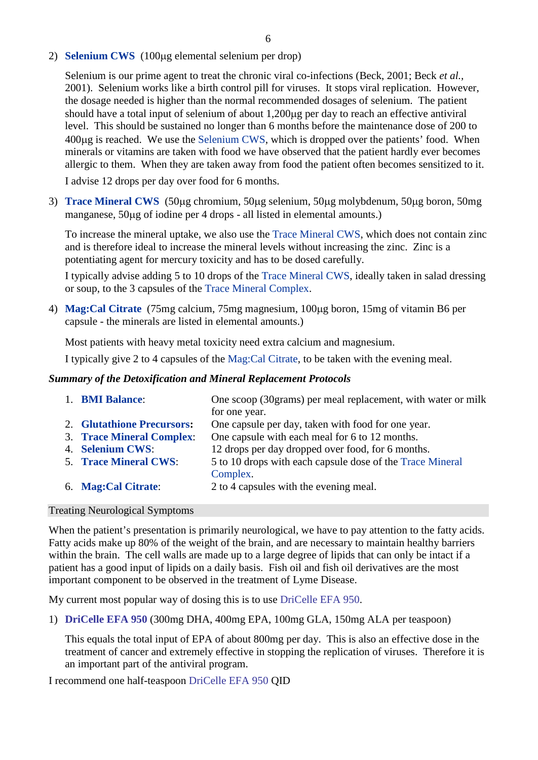### 2) **Selenium CWS** (100µg elemental selenium per drop)

Selenium is our prime agent to treat the chronic viral co-infections (Beck, 2001; Beck *et al.,* 2001). Selenium works like a birth control pill for viruses. It stops viral replication. However, the dosage needed is higher than the normal recommended dosages of selenium. The patient should have a total input of selenium of about 1,200µg per day to reach an effective antiviral level. This should be sustained no longer than 6 months before the maintenance dose of 200 to 400µg is reached. We use the Selenium CWS, which is dropped over the patients' food. When minerals or vitamins are taken with food we have observed that the patient hardly ever becomes allergic to them. When they are taken away from food the patient often becomes sensitized to it.

I advise 12 drops per day over food for 6 months.

3) **Trace Mineral CWS** (50µg chromium, 50µg selenium, 50µg molybdenum, 50µg boron, 50mg manganese, 50µg of iodine per 4 drops - all listed in elemental amounts.)

To increase the mineral uptake, we also use the Trace Mineral CWS, which does not contain zinc and is therefore ideal to increase the mineral levels without increasing the zinc. Zinc is a potentiating agent for mercury toxicity and has to be dosed carefully.

I typically advise adding 5 to 10 drops of the Trace Mineral CWS, ideally taken in salad dressing or soup, to the 3 capsules of the Trace Mineral Complex.

4) **Mag:Cal Citrate** (75mg calcium, 75mg magnesium, 100µg boron, 15mg of vitamin B6 per capsule - the minerals are listed in elemental amounts.)

Most patients with heavy metal toxicity need extra calcium and magnesium.

I typically give 2 to 4 capsules of the Mag:Cal Citrate, to be taken with the evening meal.

#### *Summary of the Detoxification and Mineral Replacement Protocols*

| One scoop (30grams) per meal replacement, with water or milk | 1. <b>BMI Balance:</b>       |  |
|--------------------------------------------------------------|------------------------------|--|
|                                                              |                              |  |
| One capsule per day, taken with food for one year.           | 2. Glutathione Precursors:   |  |
| One capsule with each meal for 6 to 12 months.               | 3. Trace Mineral Complex:    |  |
| 12 drops per day dropped over food, for 6 months.            | 4. Selenium CWS:             |  |
| 5 to 10 drops with each capsule dose of the Trace Mineral    | <b>5. Trace Mineral CWS:</b> |  |
|                                                              |                              |  |
| 2 to 4 capsules with the evening meal.                       | 6. Mag:Cal Citrate:          |  |
|                                                              |                              |  |

#### Treating Neurological Symptoms

When the patient's presentation is primarily neurological, we have to pay attention to the fatty acids. Fatty acids make up 80% of the weight of the brain, and are necessary to maintain healthy barriers within the brain. The cell walls are made up to a large degree of lipids that can only be intact if a patient has a good input of lipids on a daily basis. Fish oil and fish oil derivatives are the most important component to be observed in the treatment of Lyme Disease.

My current most popular way of dosing this is to use DriCelle EFA 950.

1) **DriCelle EFA 950** (300mg DHA, 400mg EPA, 100mg GLA, 150mg ALA per teaspoon)

This equals the total input of EPA of about 800mg per day. This is also an effective dose in the treatment of cancer and extremely effective in stopping the replication of viruses. Therefore it is an important part of the antiviral program.

I recommend one half-teaspoon DriCelle EFA 950 QID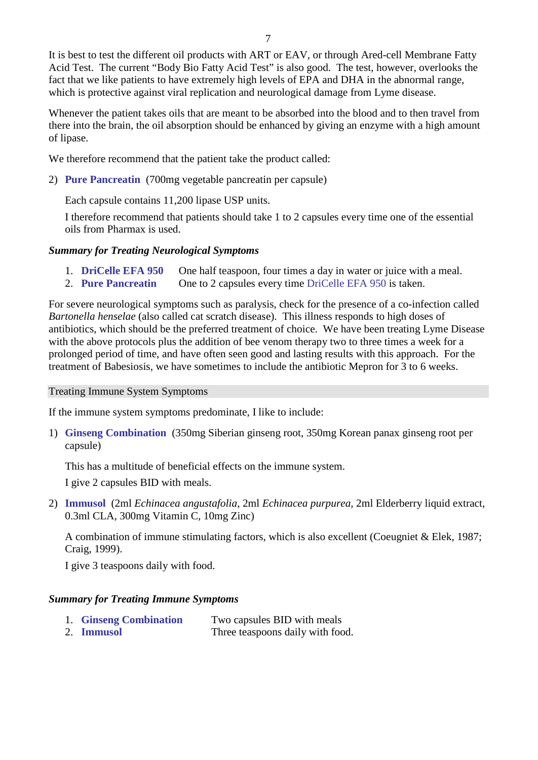It is best to test the different oil products with ART or EAV, or through Ared-cell Membrane Fatty Acid Test. The current "Body Bio Fatty Acid Test" is also good. The test, however, overlooks the fact that we like patients to have extremely high levels of EPA and DHA in the abnormal range, which is protective against viral replication and neurological damage from Lyme disease.

Whenever the patient takes oils that are meant to be absorbed into the blood and to then travel from there into the brain, the oil absorption should be enhanced by giving an enzyme with a high amount of lipase.

We therefore recommend that the patient take the product called:

2) **Pure Pancreatin** (700mg vegetable pancreatin per capsule)

Each capsule contains 11,200 lipase USP units.

I therefore recommend that patients should take 1 to 2 capsules every time one of the essential oils from Pharmax is used.

### *Summary for Treating Neurological Symptoms*

- 1. **DriCelle EFA 950** One half teaspoon, four times a day in water or juice with a meal.
- 2. **Pure Pancreatin** One to 2 capsules every time DriCelle EFA 950 is taken.

For severe neurological symptoms such as paralysis, check for the presence of a co-infection called *Bartonella henselae* (also called cat scratch disease). This illness responds to high doses of antibiotics, which should be the preferred treatment of choice. We have been treating Lyme Disease with the above protocols plus the addition of bee venom therapy two to three times a week for a prolonged period of time, and have often seen good and lasting results with this approach. For the treatment of Babesiosis, we have sometimes to include the antibiotic Mepron for 3 to 6 weeks.

### Treating Immune System Symptoms

If the immune system symptoms predominate, I like to include:

1) **Ginseng Combination** (350mg Siberian ginseng root, 350mg Korean panax ginseng root per capsule)

This has a multitude of beneficial effects on the immune system.

I give 2 capsules BID with meals.

2) **Immusol** (2ml *Echinacea angustafolia*, 2ml *Echinacea purpurea*, 2ml Elderberry liquid extract, 0.3ml CLA, 300mg Vitamin C, 10mg Zinc)

A combination of immune stimulating factors, which is also excellent (Coeugniet & Elek, 1987; Craig, 1999).

I give 3 teaspoons daily with food.

# *Summary for Treating Immune Symptoms*

- 1. **Ginseng Combination** Two capsules BID with meals
- 2. **Immusol** Three teaspoons daily with food.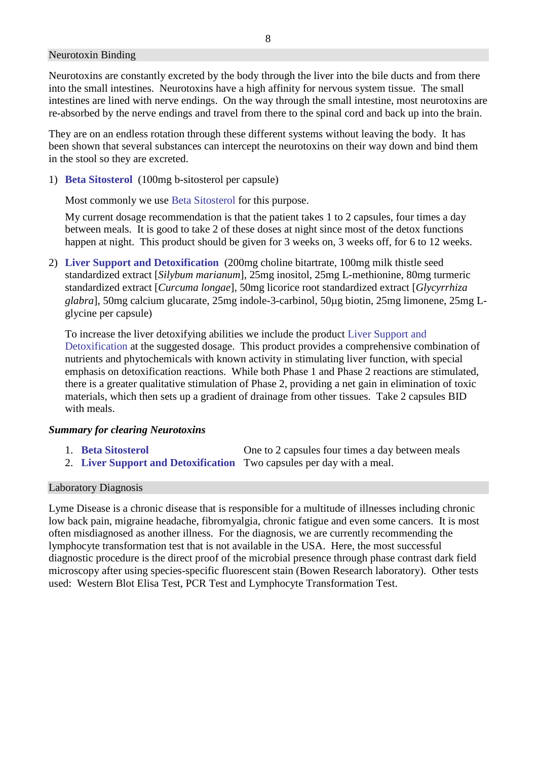Neurotoxins are constantly excreted by the body through the liver into the bile ducts and from there into the small intestines. Neurotoxins have a high affinity for nervous system tissue. The small intestines are lined with nerve endings. On the way through the small intestine, most neurotoxins are re-absorbed by the nerve endings and travel from there to the spinal cord and back up into the brain.

They are on an endless rotation through these different systems without leaving the body. It has been shown that several substances can intercept the neurotoxins on their way down and bind them in the stool so they are excreted.

1) **Beta Sitosterol** (100mg b-sitosterol per capsule)

Most commonly we use Beta Sitosterol for this purpose.

My current dosage recommendation is that the patient takes 1 to 2 capsules, four times a day between meals. It is good to take 2 of these doses at night since most of the detox functions happen at night. This product should be given for 3 weeks on, 3 weeks off, for 6 to 12 weeks.

2) **Liver Support and Detoxification** (200mg choline bitartrate, 100mg milk thistle seed standardized extract [*Silybum marianum*], 25mg inositol, 25mg L-methionine, 80mg turmeric standardized extract [*Curcuma longae*], 50mg licorice root standardized extract [*Glycyrrhiza glabra*], 50mg calcium glucarate, 25mg indole-3-carbinol, 50µg biotin, 25mg limonene, 25mg Lglycine per capsule)

To increase the liver detoxifying abilities we include the product Liver Support and Detoxification at the suggested dosage. This product provides a comprehensive combination of nutrients and phytochemicals with known activity in stimulating liver function, with special emphasis on detoxification reactions. While both Phase 1 and Phase 2 reactions are stimulated, there is a greater qualitative stimulation of Phase 2, providing a net gain in elimination of toxic materials, which then sets up a gradient of drainage from other tissues. Take 2 capsules BID with meals.

### *Summary for clearing Neurotoxins*

- 
- 1. **Beta Sitosterol** One to 2 capsules four times a day between meals 2. **Liver Support and Detoxification** Two capsules per day with a meal.

# Laboratory Diagnosis

Lyme Disease is a chronic disease that is responsible for a multitude of illnesses including chronic low back pain, migraine headache, fibromyalgia, chronic fatigue and even some cancers. It is most often misdiagnosed as another illness. For the diagnosis, we are currently recommending the lymphocyte transformation test that is not available in the USA. Here, the most successful diagnostic procedure is the direct proof of the microbial presence through phase contrast dark field microscopy after using species-specific fluorescent stain (Bowen Research laboratory). Other tests used: Western Blot Elisa Test, PCR Test and Lymphocyte Transformation Test.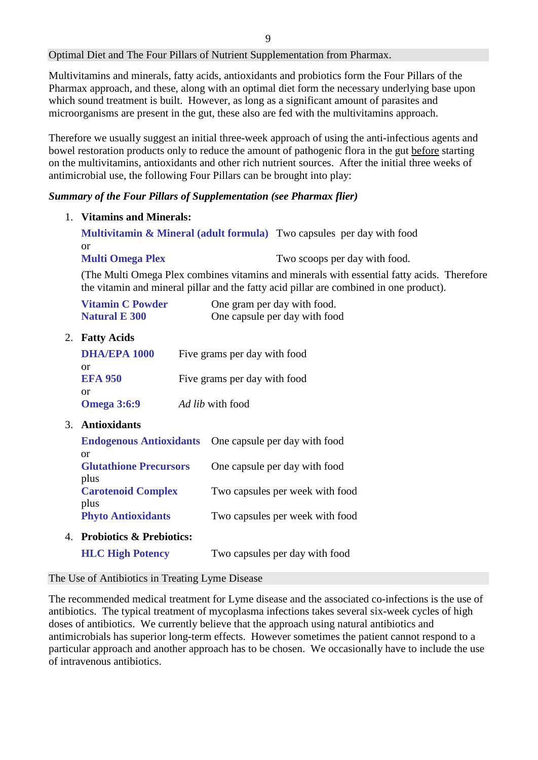### Optimal Diet and The Four Pillars of Nutrient Supplementation from Pharmax.

Multivitamins and minerals, fatty acids, antioxidants and probiotics form the Four Pillars of the Pharmax approach, and these, along with an optimal diet form the necessary underlying base upon which sound treatment is built. However, as long as a significant amount of parasites and microorganisms are present in the gut, these also are fed with the multivitamins approach.

Therefore we usually suggest an initial three-week approach of using the anti-infectious agents and bowel restoration products only to reduce the amount of pathogenic flora in the gut before starting on the multivitamins, antioxidants and other rich nutrient sources. After the initial three weeks of antimicrobial use, the following Four Pillars can be brought into play:

### *Summary of the Four Pillars of Supplementation (see Pharmax flier)*

1. **Vitamins and Minerals:**

| <b>Multivitamin &amp; Mineral (adult formula)</b> Two capsules per day with food |                               |
|----------------------------------------------------------------------------------|-------------------------------|
| or                                                                               |                               |
| <b>Multi Omega Plex</b>                                                          | Two scoops per day with food. |

(The Multi Omega Plex combines vitamins and minerals with essential fatty acids. Therefore the vitamin and mineral pillar and the fatty acid pillar are combined in one product).

| <b>Vitamin C Powder</b> | One gram per day with food.   |
|-------------------------|-------------------------------|
| <b>Natural E 300</b>    | One capsule per day with food |

### 2. **Fatty Acids**

| <b>DHA/EPA 1000</b> | Five grams per day with food |
|---------------------|------------------------------|
| or                  |                              |
| <b>EFA 950</b>      | Five grams per day with food |
| or                  |                              |
| <b>Omega 3:6:9</b>  | Ad lib with food             |

### 3. **Antioxidants**

|                                       | <b>Endogenous Antioxidants</b> One capsule per day with food |
|---------------------------------------|--------------------------------------------------------------|
| or                                    |                                                              |
| <b>Glutathione Precursors</b><br>plus | One capsule per day with food                                |
| <b>Carotenoid Complex</b><br>plus     | Two capsules per week with food                              |
| <b>Phyto Antioxidants</b>             | Two capsules per week with food                              |
| 4. Probiotics & Prebiotics:           |                                                              |
| <b>HLC High Potency</b>               | Two capsules per day with food                               |

The Use of Antibiotics in Treating Lyme Disease

The recommended medical treatment for Lyme disease and the associated co-infections is the use of antibiotics. The typical treatment of mycoplasma infections takes several six-week cycles of high doses of antibiotics. We currently believe that the approach using natural antibiotics and antimicrobials has superior long-term effects. However sometimes the patient cannot respond to a particular approach and another approach has to be chosen. We occasionally have to include the use of intravenous antibiotics.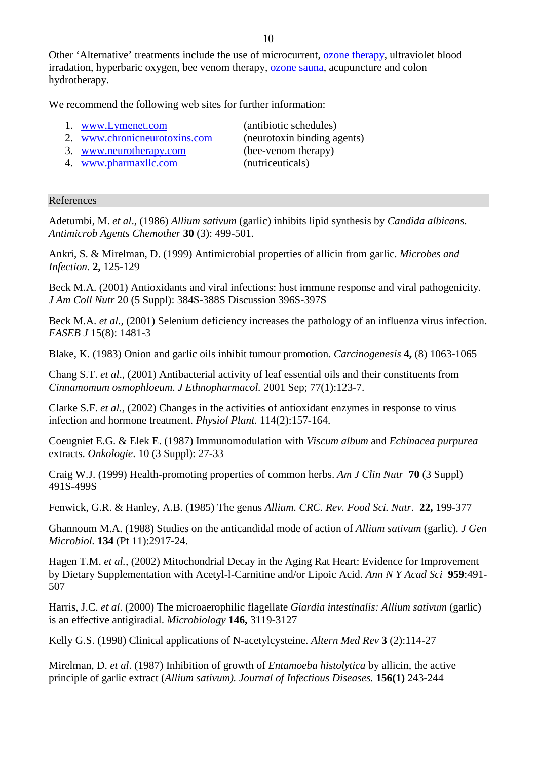We recommend the following web sites for further information:

- 1. [www.Lymenet.com](http://www.lymenet.com/) (antibiotic schedules)
- 2. [www.chronicneurotoxins.com](http://www.chronicneurotoxins.com/) (neurotoxin binding agents)
- 3. [www.neurotherapy.com](http://www.neurotherapy.com/) (bee-venom therapy)
- 4. [www.pharmaxllc.com](http://www.pharmaxllc.com/) (nutriceuticals)

### References

Adetumbi, M. *et al*., (1986) *Allium sativum* (garlic) inhibits lipid synthesis by *Candida albicans*. *Antimicrob Agents Chemother* **30** (3): 499-501.

Ankri, S. & Mirelman, D. (1999) Antimicrobial properties of allicin from garlic. *Microbes and Infection.* **2,** 125-129

Beck M.A. (2001) Antioxidants and viral infections: host immune response and viral pathogenicity. *J Am Coll Nutr* 20 (5 Suppl): 384S-388S Discussion 396S-397S

Beck M.A. *et al.*, (2001) Selenium deficiency increases the pathology of an influenza virus infection. *FASEB J* 15(8): 1481-3

Blake, K. (1983) Onion and garlic oils inhibit tumour promotion. *Carcinogenesis* **4,** (8) 1063-1065

Chang S.T. *et al*., (2001) Antibacterial activity of leaf essential oils and their constituents from *Cinnamomum osmophloeum*. *J Ethnopharmacol.* 2001 Sep; 77(1):123-7.

Clarke S.F. *et al.,* (2002) Changes in the activities of antioxidant enzymes in response to virus infection and hormone treatment. *Physiol Plant.* 114(2):157-164.

Coeugniet E.G. & Elek E. (1987) Immunomodulation with *Viscum album* and *Echinacea purpurea*  extracts. *Onkologie*. 10 (3 Suppl): 27-33

Craig W.J. (1999) Health-promoting properties of common herbs. *Am J Clin Nutr* **70** (3 Suppl) 491S-499S

Fenwick, G.R. & Hanley, A.B. (1985) The genus *Allium. CRC. Rev. Food Sci. Nutr.* **22,** 199-377

Ghannoum M.A. (1988) Studies on the anticandidal mode of action of *Allium sativum* (garlic). *J Gen Microbiol.* **134** (Pt 11):2917-24.

Hagen T.M. *et al.,* (2002) Mitochondrial Decay in the Aging Rat Heart: Evidence for Improvement by Dietary Supplementation with Acetyl-l-Carnitine and/or Lipoic Acid. *Ann N Y Acad Sci* **959**:491- 507

Harris, J.C. *et al*. (2000) The microaerophilic flagellate *Giardia intestinalis: Allium sativum* (garlic) is an effective antigiradial. *Microbiology* **146,** 3119-3127

Kelly G.S. (1998) Clinical applications of N-acetylcysteine. *Altern Med Rev* **3** (2):114-27

Mirelman, D. *et al*. (1987) Inhibition of growth of *Entamoeba histolytica* by allicin, the active principle of garlic extract (*Allium sativum). Journal of Infectious Diseases.* **156(1)** 243-244